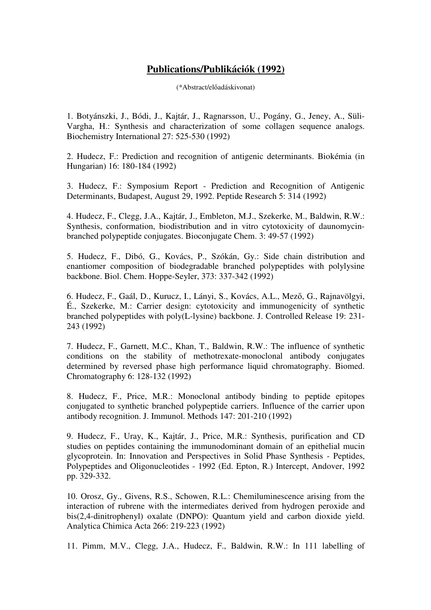## **Publications/Publikációk (1992)**

(\*Abstract/előadáskivonat)

1. Botyánszki, J., Bódi, J., Kajtár, J., Ragnarsson, U., Pogány, G., Jeney, A., Süli-Vargha, H.: Synthesis and characterization of some collagen sequence analogs. Biochemistry International 27: 525-530 (1992)

2. Hudecz, F.: Prediction and recognition of antigenic determinants. Biokémia (in Hungarian) 16: 180-184 (1992)

3. Hudecz, F.: Symposium Report - Prediction and Recognition of Antigenic Determinants, Budapest, August 29, 1992. Peptide Research 5: 314 (1992)

4. Hudecz, F., Clegg, J.A., Kajtár, J., Embleton, M.J., Szekerke, M., Baldwin, R.W.: Synthesis, conformation, biodistribution and in vitro cytotoxicity of daunomycinbranched polypeptide conjugates. Bioconjugate Chem. 3: 49-57 (1992)

5. Hudecz, F., Dibó, G., Kovács, P., Szókán, Gy.: Side chain distribution and enantiomer composition of biodegradable branched polypeptides with polylysine backbone. Biol. Chem. Hoppe-Seyler, 373: 337-342 (1992)

6. Hudecz, F., Gaál, D., Kurucz, I., Lányi, S., Kovács, A.L., Mező, G., Rajnavölgyi, É., Szekerke, M.: Carrier design: cytotoxicity and immunogenicity of synthetic branched polypeptides with poly(L-lysine) backbone. J. Controlled Release 19: 231- 243 (1992)

7. Hudecz, F., Garnett, M.C., Khan, T., Baldwin, R.W.: The influence of synthetic conditions on the stability of methotrexate-monoclonal antibody conjugates determined by reversed phase high performance liquid chromatography. Biomed. Chromatography 6: 128-132 (1992)

8. Hudecz, F., Price, M.R.: Monoclonal antibody binding to peptide epitopes conjugated to synthetic branched polypeptide carriers. Influence of the carrier upon antibody recognition. J. Immunol. Methods 147: 201-210 (1992)

9. Hudecz, F., Uray, K., Kajtár, J., Price, M.R.: Synthesis, purification and CD studies on peptides containing the immunodominant domain of an epithelial mucin glycoprotein. In: Innovation and Perspectives in Solid Phase Synthesis - Peptides, Polypeptides and Oligonucleotides - 1992 (Ed. Epton, R.) Intercept, Andover, 1992 pp. 329-332.

10. Orosz, Gy., Givens, R.S., Schowen, R.L.: Chemiluminescence arising from the interaction of rubrene with the intermediates derived from hydrogen peroxide and bis(2,4-dinitrophenyl) oxalate (DNPO): Quantum yield and carbon dioxide yield. Analytica Chimica Acta 266: 219-223 (1992)

11. Pimm, M.V., Clegg, J.A., Hudecz, F., Baldwin, R.W.: In 111 labelling of